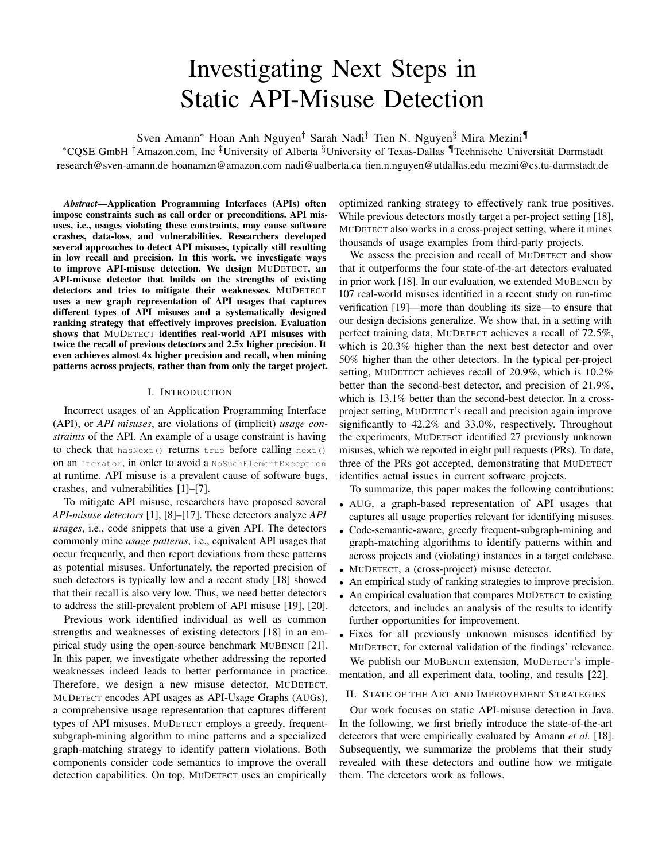# Investigating Next Steps in Static API-Misuse Detection

Sven Amann<sup>∗</sup> Hoan Anh Nguyen† Sarah Nadi‡ Tien N. Nguyen§ Mira Mezini¶

<sup>∗</sup>CQSE GmbH †Amazon.com, Inc ‡University of Alberta §University of Texas-Dallas ¶Technische Universitat Darmstadt ¨ research@sven-amann.de hoanamzn@amazon.com nadi@ualberta.ca tien.n.nguyen@utdallas.edu mezini@cs.tu-darmstadt.de

*Abstract*—Application Programming Interfaces (APIs) often impose constraints such as call order or preconditions. API misuses, i.e., usages violating these constraints, may cause software crashes, data-loss, and vulnerabilities. Researchers developed several approaches to detect API misuses, typically still resulting in low recall and precision. In this work, we investigate ways to improve API-misuse detection. We design MUDETECT, an API-misuse detector that builds on the strengths of existing detectors and tries to mitigate their weaknesses. MUDETECT uses a new graph representation of API usages that captures different types of API misuses and a systematically designed ranking strategy that effectively improves precision. Evaluation shows that MUDETECT identifies real-world API misuses with twice the recall of previous detectors and 2.5x higher precision. It even achieves almost 4x higher precision and recall, when mining patterns across projects, rather than from only the target project.

#### I. INTRODUCTION

Incorrect usages of an Application Programming Interface (API), or *API misuses*, are violations of (implicit) *usage constraints* of the API. An example of a usage constraint is having to check that has Next () returns true before calling next () on an Iterator, in order to avoid a NoSuchElementException at runtime. API misuse is a prevalent cause of software bugs, crashes, and vulnerabilities [1]–[7].

To mitigate API misuse, researchers have proposed several *API-misuse detectors* [1], [8]–[17]. These detectors analyze *API usages*, i.e., code snippets that use a given API. The detectors commonly mine *usage patterns*, i.e., equivalent API usages that occur frequently, and then report deviations from these patterns as potential misuses. Unfortunately, the reported precision of such detectors is typically low and a recent study [18] showed that their recall is also very low. Thus, we need better detectors to address the still-prevalent problem of API misuse [19], [20].

Previous work identified individual as well as common strengths and weaknesses of existing detectors [18] in an empirical study using the open-source benchmark MUBENCH [21]. In this paper, we investigate whether addressing the reported weaknesses indeed leads to better performance in practice. Therefore, we design a new misuse detector, MUDETECT. MUDETECT encodes API usages as API-Usage Graphs (AUGs), a comprehensive usage representation that captures different types of API misuses. MUDETECT employs a greedy, frequentsubgraph-mining algorithm to mine patterns and a specialized graph-matching strategy to identify pattern violations. Both components consider code semantics to improve the overall detection capabilities. On top, MUDETECT uses an empirically

optimized ranking strategy to effectively rank true positives. While previous detectors mostly target a per-project setting [18], MUDETECT also works in a cross-project setting, where it mines thousands of usage examples from third-party projects.

We assess the precision and recall of MUDETECT and show that it outperforms the four state-of-the-art detectors evaluated in prior work [18]. In our evaluation, we extended MUBENCH by 107 real-world misuses identified in a recent study on run-time verification [19]—more than doubling its size—to ensure that our design decisions generalize. We show that, in a setting with perfect training data, MUDETECT achieves a recall of 72.5%, which is 20.3% higher than the next best detector and over 50% higher than the other detectors. In the typical per-project setting, MUDETECT achieves recall of 20.9%, which is 10.2% better than the second-best detector, and precision of 21.9%, which is 13.1% better than the second-best detector. In a crossproject setting, MUDETECT's recall and precision again improve significantly to 42.2% and 33.0%, respectively. Throughout the experiments, MUDETECT identified 27 previously unknown misuses, which we reported in eight pull requests (PRs). To date, three of the PRs got accepted, demonstrating that MUDETECT identifies actual issues in current software projects.

To summarize, this paper makes the following contributions:

- AUG, a graph-based representation of API usages that captures all usage properties relevant for identifying misuses.
- Code-semantic-aware, greedy frequent-subgraph-mining and graph-matching algorithms to identify patterns within and across projects and (violating) instances in a target codebase.
- MUDETECT, a (cross-project) misuse detector.
- An empirical study of ranking strategies to improve precision.
- An empirical evaluation that compares MUDETECT to existing detectors, and includes an analysis of the results to identify further opportunities for improvement.
- Fixes for all previously unknown misuses identified by MUDETECT, for external validation of the findings' relevance. We publish our MUBENCH extension, MUDETECT's implementation, and all experiment data, tooling, and results [22].

#### II. STATE OF THE ART AND IMPROVEMENT STRATEGIES

Our work focuses on static API-misuse detection in Java. In the following, we first briefly introduce the state-of-the-art detectors that were empirically evaluated by Amann *et al.* [18]. Subsequently, we summarize the problems that their study revealed with these detectors and outline how we mitigate them. The detectors work as follows.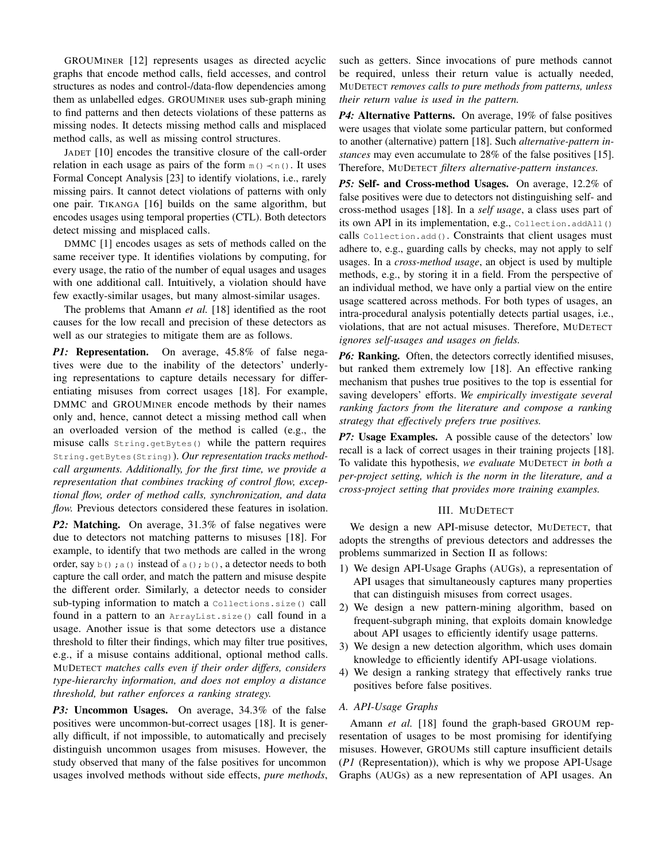GROUMINER [12] represents usages as directed acyclic graphs that encode method calls, field accesses, and control structures as nodes and control-/data-flow dependencies among them as unlabelled edges. GROUMINER uses sub-graph mining to find patterns and then detects violations of these patterns as missing nodes. It detects missing method calls and misplaced method calls, as well as missing control structures.

JADET [10] encodes the transitive closure of the call-order relation in each usage as pairs of the form  $m() \prec n()$ . It uses Formal Concept Analysis [23] to identify violations, i.e., rarely missing pairs. It cannot detect violations of patterns with only one pair. TIKANGA [16] builds on the same algorithm, but encodes usages using temporal properties (CTL). Both detectors detect missing and misplaced calls.

DMMC [1] encodes usages as sets of methods called on the same receiver type. It identifies violations by computing, for every usage, the ratio of the number of equal usages and usages with one additional call. Intuitively, a violation should have few exactly-similar usages, but many almost-similar usages.

The problems that Amann *et al.* [18] identified as the root causes for the low recall and precision of these detectors as well as our strategies to mitigate them are as follows.

*P1:* Representation. On average, 45.8% of false negatives were due to the inability of the detectors' underlying representations to capture details necessary for differentiating misuses from correct usages [18]. For example, DMMC and GROUMINER encode methods by their names only and, hence, cannot detect a missing method call when an overloaded version of the method is called (e.g., the misuse calls String.getBytes() while the pattern requires String.getBytes(String)). Our representation tracks method*call arguments. Additionally, for the first time, we provide a representation that combines tracking of control flow, exceptional flow, order of method calls, synchronization, and data flow.* Previous detectors considered these features in isolation.

*P2:* Matching. On average, 31.3% of false negatives were due to detectors not matching patterns to misuses [18]. For example, to identify that two methods are called in the wrong order, say  $b()$ ; a() instead of a(); b(), a detector needs to both capture the call order, and match the pattern and misuse despite the different order. Similarly, a detector needs to consider sub-typing information to match a Collections.size() call found in a pattern to an ArrayList.size() call found in a usage. Another issue is that some detectors use a distance threshold to filter their findings, which may filter true positives, e.g., if a misuse contains additional, optional method calls. MUDETECT *matches calls even if their order differs, considers type-hierarchy information, and does not employ a distance threshold, but rather enforces a ranking strategy.*

*P3:* Uncommon Usages. On average, 34.3% of the false positives were uncommon-but-correct usages [18]. It is generally difficult, if not impossible, to automatically and precisely distinguish uncommon usages from misuses. However, the study observed that many of the false positives for uncommon usages involved methods without side effects, *pure methods*, such as getters. Since invocations of pure methods cannot be required, unless their return value is actually needed, MUDETECT *removes calls to pure methods from patterns, unless their return value is used in the pattern.*

*P4:* Alternative Patterns. On average, 19% of false positives were usages that violate some particular pattern, but conformed to another (alternative) pattern [18]. Such *alternative-pattern instances* may even accumulate to 28% of the false positives [15]. Therefore, MUDETECT *filters alternative-pattern instances.*

*P5:* Self- and Cross-method Usages. On average, 12.2% of false positives were due to detectors not distinguishing self- and cross-method usages [18]. In a *self usage*, a class uses part of its own API in its implementation, e.g., Collection.addAll() calls Collection.add(). Constraints that client usages must adhere to, e.g., guarding calls by checks, may not apply to self usages. In a *cross-method usage*, an object is used by multiple methods, e.g., by storing it in a field. From the perspective of an individual method, we have only a partial view on the entire usage scattered across methods. For both types of usages, an intra-procedural analysis potentially detects partial usages, i.e., violations, that are not actual misuses. Therefore, MUDETECT *ignores self-usages and usages on fields.*

*P6:* Ranking. Often, the detectors correctly identified misuses, but ranked them extremely low [18]. An effective ranking mechanism that pushes true positives to the top is essential for saving developers' efforts. *We empirically investigate several ranking factors from the literature and compose a ranking strategy that effectively prefers true positives.*

*P7:* Usage Examples. A possible cause of the detectors' low recall is a lack of correct usages in their training projects [18]. To validate this hypothesis, *we evaluate* MUDETECT *in both a per-project setting, which is the norm in the literature, and a cross-project setting that provides more training examples.*

## III. MUDETECT

We design a new API-misuse detector, MUDETECT, that adopts the strengths of previous detectors and addresses the problems summarized in Section II as follows:

- 1) We design API-Usage Graphs (AUGs), a representation of API usages that simultaneously captures many properties that can distinguish misuses from correct usages.
- 2) We design a new pattern-mining algorithm, based on frequent-subgraph mining, that exploits domain knowledge about API usages to efficiently identify usage patterns.
- 3) We design a new detection algorithm, which uses domain knowledge to efficiently identify API-usage violations.
- 4) We design a ranking strategy that effectively ranks true positives before false positives.

# *A. API-Usage Graphs*

Amann *et al.* [18] found the graph-based GROUM representation of usages to be most promising for identifying misuses. However, GROUMs still capture insufficient details (*P1* (Representation)), which is why we propose API-Usage Graphs (AUGs) as a new representation of API usages. An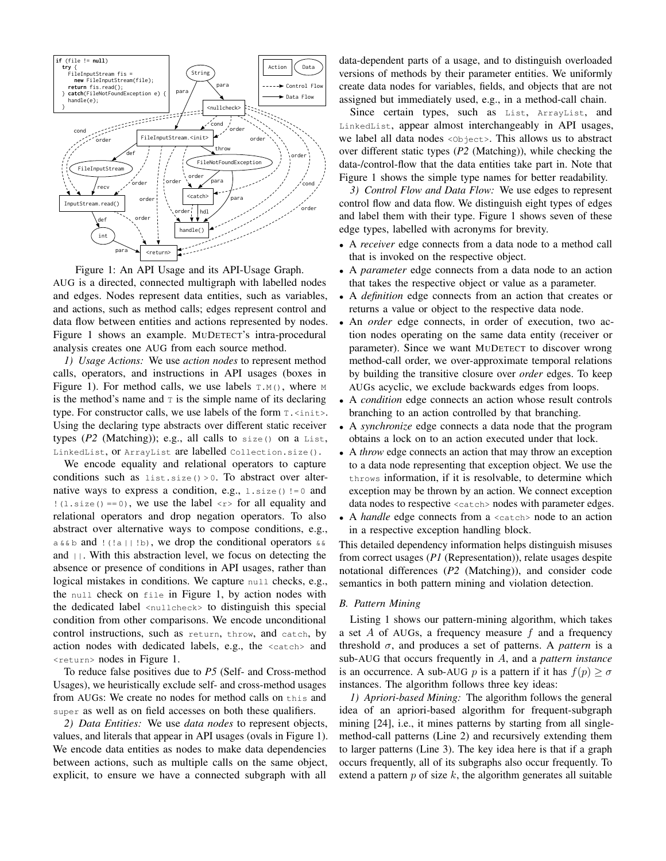

Figure 1: An API Usage and its API-Usage Graph. AUG is a directed, connected multigraph with labelled nodes and edges. Nodes represent data entities, such as variables,

and actions, such as method calls; edges represent control and data flow between entities and actions represented by nodes. Figure 1 shows an example. MUDETECT's intra-procedural analysis creates one AUG from each source method.

*1) Usage Actions:* We use *action nodes* to represent method calls, operators, and instructions in API usages (boxes in Figure 1). For method calls, we use labels  $T.M(1)$ , where M is the method's name and  $\tau$  is the simple name of its declaring type. For constructor calls, we use labels of the form  $\tau$ .  $\langle$ init>. Using the declaring type abstracts over different static receiver types  $(P2 \text{ (Matching)}); e.g., all calls to size() on a List,$ LinkedList, or ArrayList are labelled Collection.size().

We encode equality and relational operators to capture conditions such as list.size() > 0. To abstract over alternative ways to express a condition, e.g.,  $1.size() != 0$  and  $!(1.size() == 0)$ , we use the label  $\langle r \rangle$  for all equality and relational operators and drop negation operators. To also abstract over alternative ways to compose conditions, e.g., a  $\&\&b$  and  $\left(\frac{1}{a} | \cdot | b\right)$ , we drop the conditional operators  $\&\&b$ and  $||$ . With this abstraction level, we focus on detecting the absence or presence of conditions in API usages, rather than logical mistakes in conditions. We capture null checks, e.g., the null check on file in Figure 1, by action nodes with the dedicated label <nullcheck> to distinguish this special condition from other comparisons. We encode unconditional control instructions, such as return, throw, and catch, by action nodes with dedicated labels, e.g., the <catch> and <return> nodes in Figure 1.

To reduce false positives due to *P5* (Self- and Cross-method Usages), we heuristically exclude self- and cross-method usages from AUGs: We create no nodes for method calls on this and super as well as on field accesses on both these qualifiers.

*2) Data Entities:* We use *data nodes* to represent objects, values, and literals that appear in API usages (ovals in Figure 1). We encode data entities as nodes to make data dependencies between actions, such as multiple calls on the same object, explicit, to ensure we have a connected subgraph with all

data-dependent parts of a usage, and to distinguish overloaded versions of methods by their parameter entities. We uniformly create data nodes for variables, fields, and objects that are not assigned but immediately used, e.g., in a method-call chain.

Since certain types, such as List, ArrayList, and LinkedList, appear almost interchangeably in API usages, we label all data nodes <Object>. This allows us to abstract over different static types (*P2* (Matching)), while checking the data-/control-flow that the data entities take part in. Note that Figure 1 shows the simple type names for better readability.

*3) Control Flow and Data Flow:* We use edges to represent control flow and data flow. We distinguish eight types of edges and label them with their type. Figure 1 shows seven of these edge types, labelled with acronyms for brevity.

- A *receiver* edge connects from a data node to a method call that is invoked on the respective object.
- A *parameter* edge connects from a data node to an action that takes the respective object or value as a parameter.
- A *definition* edge connects from an action that creates or returns a value or object to the respective data node.
- An *order* edge connects, in order of execution, two action nodes operating on the same data entity (receiver or parameter). Since we want MUDETECT to discover wrong method-call order, we over-approximate temporal relations by building the transitive closure over *order* edges. To keep AUGs acyclic, we exclude backwards edges from loops.
- A *condition* edge connects an action whose result controls branching to an action controlled by that branching.
- A *synchronize* edge connects a data node that the program obtains a lock on to an action executed under that lock.
- A *throw* edge connects an action that may throw an exception to a data node representing that exception object. We use the throws information, if it is resolvable, to determine which exception may be thrown by an action. We connect exception data nodes to respective <catch> nodes with parameter edges.
- A *handle* edge connects from a  $\langle \text{catch}\rangle$  node to an action in a respective exception handling block.

This detailed dependency information helps distinguish misuses from correct usages (*P1* (Representation)), relate usages despite notational differences (*P2* (Matching)), and consider code semantics in both pattern mining and violation detection.

# *B. Pattern Mining*

Listing 1 shows our pattern-mining algorithm, which takes a set  $A$  of AUGs, a frequency measure  $f$  and a frequency threshold  $\sigma$ , and produces a set of patterns. A *pattern* is a sub-AUG that occurs frequently in A, and a *pattern instance* is an occurrence. A sub-AUG p is a pattern if it has  $f(p) > \sigma$ instances. The algorithm follows three key ideas:

*1) Apriori-based Mining:* The algorithm follows the general idea of an apriori-based algorithm for frequent-subgraph mining [24], i.e., it mines patterns by starting from all singlemethod-call patterns (Line 2) and recursively extending them to larger patterns (Line 3). The key idea here is that if a graph occurs frequently, all of its subgraphs also occur frequently. To extend a pattern  $p$  of size  $k$ , the algorithm generates all suitable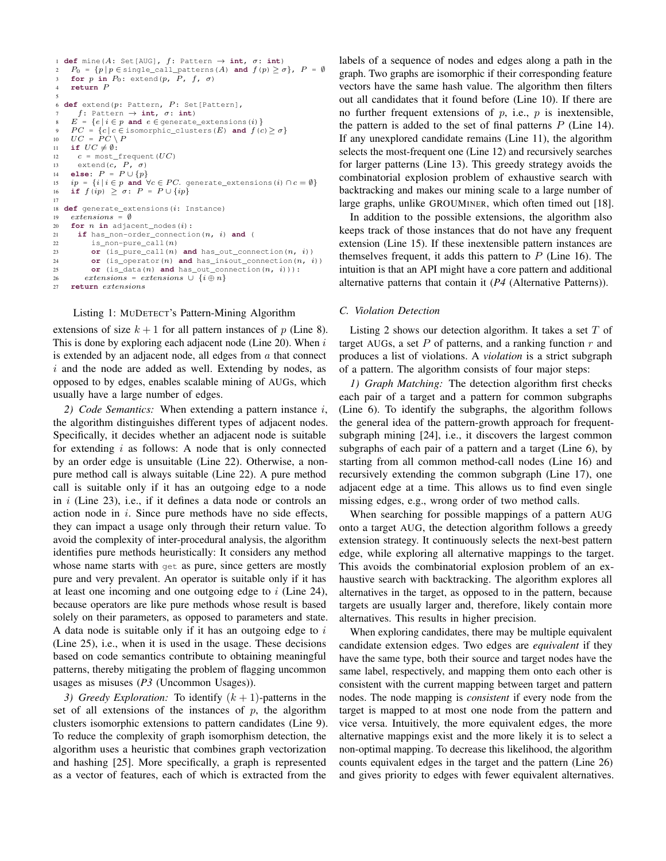```
1 def mine(A: Set[AUG], f: Pattern \rightarrow int, \sigma: int)
 2 P_0 = \{p \mid p \in \text{single\_call\_patterns}(A) \text{ and } f(p) \ge \sigma\}, P = \emptyset<br>3 for p in P_0: extend(p, P, f, \sigma)
4 return P
 s<br>6 def extend(p\colon Pattern, P\colon Set[Pattern],
     f: Pattern \rightarrow int, \sigma: int)<br>E = \{e \mid i \in n \text{ and } \sigma\}= \{e \mid i \in p \text{ and } e \in \text{generate\_extensions}(i)\}\overline{PC} = \{c \mid c \in \text{isomorphic}\_\text{clusters}(E) \text{ and } f(c) \ge \sigma\}10 UC = \overrightarrow{PC} \setminus P11 if UC \neq \emptyset:
12 c = \text{most\_frequent}(UC)13 extend(c, P, \sigma)<br>14 else: P = P \cup \{p\}15 ip = \{i | i \in p \text{ and } \forall c \in PC. generate_extensions(i) \cap c = \emptyset\}<br>16 if f(ip) \geq \sigma: P = P \cup \{ip\}17
18 def generate_extensions(i: Instance)
19 extensors = \emptyset20 for n in adjacent_nodes(i):
21 if has_non-order_connection(n, i) and (
22 is_non-pure_call(n)
23 or (is_pure_call(n) and has_out_connection(n, i))
24 or (is_operator(n) and has_in&out_connection(n, i))
25 or (is_data(n) and has_out_connection(n, i))):
          extensions = extensions \cup \{i \oplus n\}27 return extensions
```
## Listing 1: MUDETECT's Pattern-Mining Algorithm

extensions of size  $k + 1$  for all pattern instances of p (Line 8). This is done by exploring each adjacent node (Line 20). When  $i$ is extended by an adjacent node, all edges from  $\alpha$  that connect  $i$  and the node are added as well. Extending by nodes, as opposed to by edges, enables scalable mining of AUGs, which usually have a large number of edges.

*2) Code Semantics:* When extending a pattern instance i, the algorithm distinguishes different types of adjacent nodes. Specifically, it decides whether an adjacent node is suitable for extending  $i$  as follows: A node that is only connected by an order edge is unsuitable (Line 22). Otherwise, a nonpure method call is always suitable (Line 22). A pure method call is suitable only if it has an outgoing edge to a node in  $i$  (Line 23), i.e., if it defines a data node or controls an action node in  $i$ . Since pure methods have no side effects, they can impact a usage only through their return value. To avoid the complexity of inter-procedural analysis, the algorithm identifies pure methods heuristically: It considers any method whose name starts with get as pure, since getters are mostly pure and very prevalent. An operator is suitable only if it has at least one incoming and one outgoing edge to  $i$  (Line 24), because operators are like pure methods whose result is based solely on their parameters, as opposed to parameters and state. A data node is suitable only if it has an outgoing edge to  $i$ (Line 25), i.e., when it is used in the usage. These decisions based on code semantics contribute to obtaining meaningful patterns, thereby mitigating the problem of flagging uncommon usages as misuses (*P3* (Uncommon Usages)).

*3)* Greedy Exploration: To identify  $(k + 1)$ -patterns in the set of all extensions of the instances of  $p$ , the algorithm clusters isomorphic extensions to pattern candidates (Line 9). To reduce the complexity of graph isomorphism detection, the algorithm uses a heuristic that combines graph vectorization and hashing [25]. More specifically, a graph is represented as a vector of features, each of which is extracted from the

labels of a sequence of nodes and edges along a path in the graph. Two graphs are isomorphic if their corresponding feature vectors have the same hash value. The algorithm then filters out all candidates that it found before (Line 10). If there are no further frequent extensions of  $p$ , i.e.,  $p$  is inextensible, the pattern is added to the set of final patterns  $P$  (Line 14). If any unexplored candidate remains (Line 11), the algorithm selects the most-frequent one (Line 12) and recursively searches for larger patterns (Line 13). This greedy strategy avoids the combinatorial explosion problem of exhaustive search with backtracking and makes our mining scale to a large number of large graphs, unlike GROUMINER, which often timed out [18].

In addition to the possible extensions, the algorithm also keeps track of those instances that do not have any frequent extension (Line 15). If these inextensible pattern instances are themselves frequent, it adds this pattern to  $P$  (Line 16). The intuition is that an API might have a core pattern and additional alternative patterns that contain it (*P4* (Alternative Patterns)).

## *C. Violation Detection*

Listing 2 shows our detection algorithm. It takes a set  $T$  of target AUGs, a set  $P$  of patterns, and a ranking function  $r$  and produces a list of violations. A *violation* is a strict subgraph of a pattern. The algorithm consists of four major steps:

*1) Graph Matching:* The detection algorithm first checks each pair of a target and a pattern for common subgraphs (Line 6). To identify the subgraphs, the algorithm follows the general idea of the pattern-growth approach for frequentsubgraph mining [24], i.e., it discovers the largest common subgraphs of each pair of a pattern and a target (Line 6), by starting from all common method-call nodes (Line 16) and recursively extending the common subgraph (Line 17), one adjacent edge at a time. This allows us to find even single missing edges, e.g., wrong order of two method calls.

When searching for possible mappings of a pattern AUG onto a target AUG, the detection algorithm follows a greedy extension strategy. It continuously selects the next-best pattern edge, while exploring all alternative mappings to the target. This avoids the combinatorial explosion problem of an exhaustive search with backtracking. The algorithm explores all alternatives in the target, as opposed to in the pattern, because targets are usually larger and, therefore, likely contain more alternatives. This results in higher precision.

When exploring candidates, there may be multiple equivalent candidate extension edges. Two edges are *equivalent* if they have the same type, both their source and target nodes have the same label, respectively, and mapping them onto each other is consistent with the current mapping between target and pattern nodes. The node mapping is *consistent* if every node from the target is mapped to at most one node from the pattern and vice versa. Intuitively, the more equivalent edges, the more alternative mappings exist and the more likely it is to select a non-optimal mapping. To decrease this likelihood, the algorithm counts equivalent edges in the target and the pattern (Line 26) and gives priority to edges with fewer equivalent alternatives.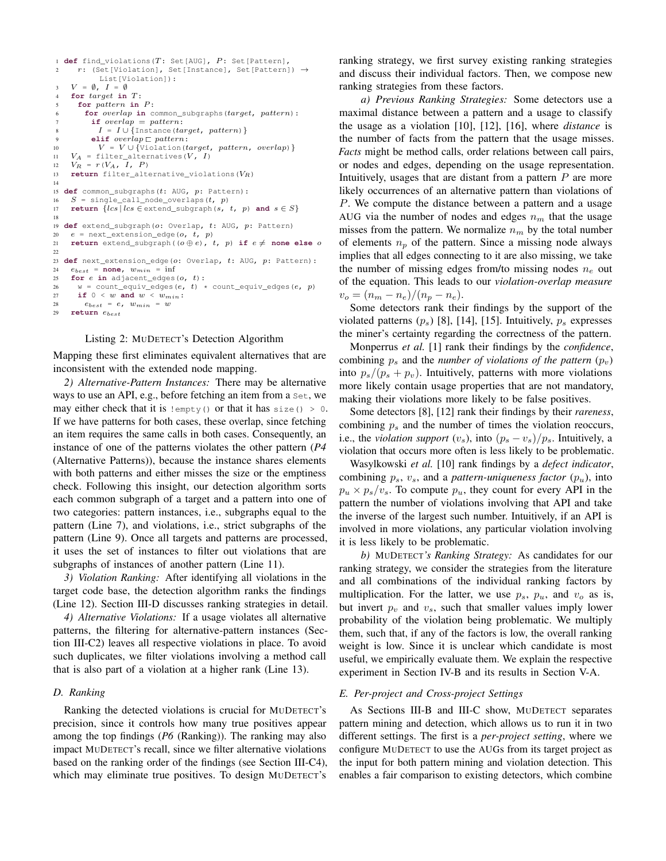```
1 def find_violations(T: Set[AUG], P: Set[Pattern],
2 r: (Set[Violation], Set[Instance], Set[Pattern]) \rightarrowList[Violation]):
3 V = \emptyset, I = \emptysetfor target in T:
5 for pattern in P :
        for overlap in common_subgraphs(target, pattern):
         if \ overlap = pattern:I = I \cup \{Instance(target, pattern)\}elif overlap \sqsubset pattern:
10 V = V \cup \{Violation(target, pattern, overlap) }
11 V_A = filter_alternatives(V, I)
12 V_R = r(V_A, I, P)13 return filter_alternative_violations(V_R)
14
15 def common_subgraphs(t: AUG, p: Pattern):
16 S = single_call_node_overlaps(t, p)
17 return \{lcs \mid lcs \in \text{extend\_subgraph}(s, t, p) \text{ and } s \in S\}18
19 def extend_subgraph(o: Overlap, t: AUG, p: Pattern)
20 e = \text{next\_extension\_edge}(o, t, p)21 return extend_subgraph((o \oplus e), t, p) if e \neq none else o
22
23 def next_extension_edge(o: Overlap, t: AUG, p: Pattern):
24 e_{best} = none, w_{min} = inf
25 for e in adjacent_edges(o, t):
26 w = count_equiv_edges(e, t) * count_equiv_edges(e, p)<br>
27 if 0 < w and w < w_{min}:
      if 0 < w and w < w_{min}:
28 e_{best} = e_t, w_{min} = w<br>29 return e_{best}29 return ebest
```
# Listing 2: MUDETECT's Detection Algorithm

Mapping these first eliminates equivalent alternatives that are inconsistent with the extended node mapping.

*2) Alternative-Pattern Instances:* There may be alternative ways to use an API, e.g., before fetching an item from a Set, we may either check that it is  $!$ empty() or that it has size() > 0. If we have patterns for both cases, these overlap, since fetching an item requires the same calls in both cases. Consequently, an instance of one of the patterns violates the other pattern (*P4* (Alternative Patterns)), because the instance shares elements with both patterns and either misses the size or the emptiness check. Following this insight, our detection algorithm sorts each common subgraph of a target and a pattern into one of two categories: pattern instances, i.e., subgraphs equal to the pattern (Line 7), and violations, i.e., strict subgraphs of the pattern (Line 9). Once all targets and patterns are processed, it uses the set of instances to filter out violations that are subgraphs of instances of another pattern (Line 11).

*3) Violation Ranking:* After identifying all violations in the target code base, the detection algorithm ranks the findings (Line 12). Section III-D discusses ranking strategies in detail.

*4) Alternative Violations:* If a usage violates all alternative patterns, the filtering for alternative-pattern instances (Section III-C2) leaves all respective violations in place. To avoid such duplicates, we filter violations involving a method call that is also part of a violation at a higher rank (Line 13).

# *D. Ranking*

Ranking the detected violations is crucial for MUDETECT's precision, since it controls how many true positives appear among the top findings (*P6* (Ranking)). The ranking may also impact MUDETECT's recall, since we filter alternative violations based on the ranking order of the findings (see Section III-C4), which may eliminate true positives. To design MUDETECT's

ranking strategy, we first survey existing ranking strategies and discuss their individual factors. Then, we compose new ranking strategies from these factors.

*a) Previous Ranking Strategies:* Some detectors use a maximal distance between a pattern and a usage to classify the usage as a violation [10], [12], [16], where *distance* is the number of facts from the pattern that the usage misses. *Facts* might be method calls, order relations between call pairs, or nodes and edges, depending on the usage representation. Intuitively, usages that are distant from a pattern  $P$  are more likely occurrences of an alternative pattern than violations of P. We compute the distance between a pattern and a usage AUG via the number of nodes and edges  $n<sub>m</sub>$  that the usage misses from the pattern. We normalize  $n_m$  by the total number of elements  $n_p$  of the pattern. Since a missing node always implies that all edges connecting to it are also missing, we take the number of missing edges from/to missing nodes  $n_e$  out of the equation. This leads to our *violation-overlap measure*  $v_o = (n_m - n_e)/(n_p - n_e).$ 

Some detectors rank their findings by the support of the violated patterns  $(p_s)$  [8], [14], [15]. Intuitively,  $p_s$  expresses the miner's certainty regarding the correctness of the pattern.

Monperrus *et al.* [1] rank their findings by the *confidence*, combining  $p_s$  and the *number of violations of the pattern*  $(p_v)$ into  $p_s/(p_s + p_v)$ . Intuitively, patterns with more violations more likely contain usage properties that are not mandatory, making their violations more likely to be false positives.

Some detectors [8], [12] rank their findings by their *rareness*, combining  $p_s$  and the number of times the violation reoccurs, i.e., the *violation support*  $(v_s)$ , into  $(p_s - v_s)/p_s$ . Intuitively, a violation that occurs more often is less likely to be problematic.

Wasylkowski *et al.* [10] rank findings by a *defect indicator*, combining  $p_s$ ,  $v_s$ , and a *pattern-uniqueness factor*  $(p_u)$ , into  $p_u \times p_s/v_s$ . To compute  $p_u$ , they count for every API in the pattern the number of violations involving that API and take the inverse of the largest such number. Intuitively, if an API is involved in more violations, any particular violation involving it is less likely to be problematic.

*b)* MUDETECT*'s Ranking Strategy:* As candidates for our ranking strategy, we consider the strategies from the literature and all combinations of the individual ranking factors by multiplication. For the latter, we use  $p_s$ ,  $p_u$ , and  $v_o$  as is, but invert  $p_v$  and  $v_s$ , such that smaller values imply lower probability of the violation being problematic. We multiply them, such that, if any of the factors is low, the overall ranking weight is low. Since it is unclear which candidate is most useful, we empirically evaluate them. We explain the respective experiment in Section IV-B and its results in Section V-A.

#### *E. Per-project and Cross-project Settings*

As Sections III-B and III-C show, MUDETECT separates pattern mining and detection, which allows us to run it in two different settings. The first is a *per-project setting*, where we configure MUDETECT to use the AUGs from its target project as the input for both pattern mining and violation detection. This enables a fair comparison to existing detectors, which combine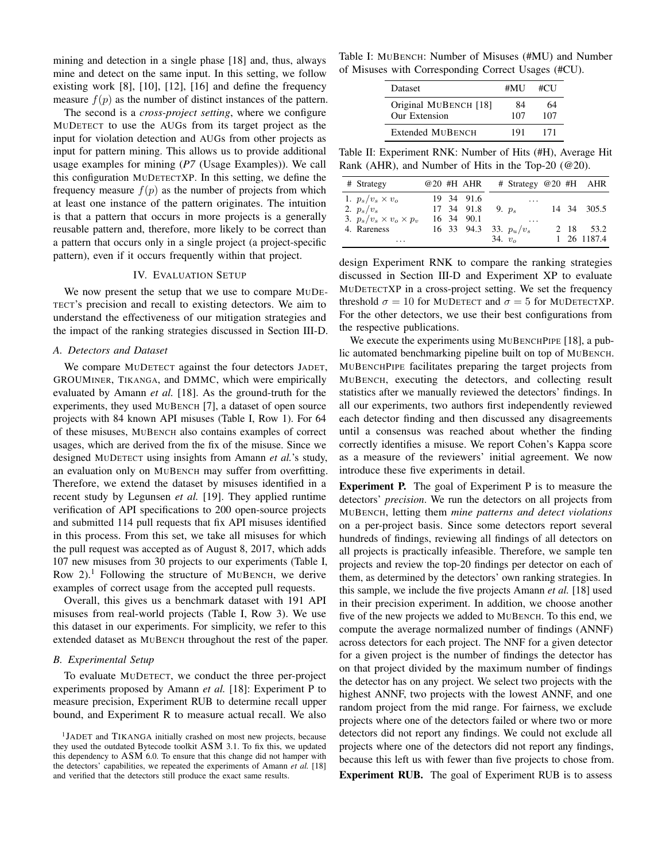mining and detection in a single phase [18] and, thus, always mine and detect on the same input. In this setting, we follow existing work [8], [10], [12], [16] and define the frequency measure  $f(p)$  as the number of distinct instances of the pattern.

The second is a *cross-project setting*, where we configure MUDETECT to use the AUGs from its target project as the input for violation detection and AUGs from other projects as input for pattern mining. This allows us to provide additional usage examples for mining (*P7* (Usage Examples)). We call this configuration MUDETECTXP. In this setting, we define the frequency measure  $f(p)$  as the number of projects from which at least one instance of the pattern originates. The intuition is that a pattern that occurs in more projects is a generally reusable pattern and, therefore, more likely to be correct than a pattern that occurs only in a single project (a project-specific pattern), even if it occurs frequently within that project.

## IV. EVALUATION SETUP

We now present the setup that we use to compare MUDE-TECT's precision and recall to existing detectors. We aim to understand the effectiveness of our mitigation strategies and the impact of the ranking strategies discussed in Section III-D.

#### *A. Detectors and Dataset*

We compare MUDETECT against the four detectors JADET, GROUMINER, TIKANGA, and DMMC, which were empirically evaluated by Amann *et al.* [18]. As the ground-truth for the experiments, they used MUBENCH [7], a dataset of open source projects with 84 known API misuses (Table I, Row 1). For 64 of these misuses, MUBENCH also contains examples of correct usages, which are derived from the fix of the misuse. Since we designed MUDETECT using insights from Amann *et al.*'s study, an evaluation only on MUBENCH may suffer from overfitting. Therefore, we extend the dataset by misuses identified in a recent study by Legunsen *et al.* [19]. They applied runtime verification of API specifications to 200 open-source projects and submitted 114 pull requests that fix API misuses identified in this process. From this set, we take all misuses for which the pull request was accepted as of August 8, 2017, which adds 107 new misuses from 30 projects to our experiments (Table I, Row  $2$ ).<sup>1</sup> Following the structure of MUBENCH, we derive examples of correct usage from the accepted pull requests.

Overall, this gives us a benchmark dataset with 191 API misuses from real-world projects (Table I, Row 3). We use this dataset in our experiments. For simplicity, we refer to this extended dataset as MUBENCH throughout the rest of the paper.

#### *B. Experimental Setup*

To evaluate MUDETECT, we conduct the three per-project experiments proposed by Amann *et al.* [18]: Experiment P to measure precision, Experiment RUB to determine recall upper bound, and Experiment R to measure actual recall. We also

Table I: MUBENCH: Number of Misuses (#MU) and Number of Misuses with Corresponding Correct Usages (#CU).

| <b>Dataset</b>                         | #MU       | #CU       |
|----------------------------------------|-----------|-----------|
| Original MUBENCH [18]<br>Our Extension | 84<br>107 | 64<br>107 |
| Extended MUBENCH                       | 191       | 171       |

Table II: Experiment RNK: Number of Hits (#H), Average Hit Rank (AHR), and Number of Hits in the Top-20 (@20).

| # Strategy                         |  | @20 #H AHR | # Strategy $@20$ #H AHR  |  |             |
|------------------------------------|--|------------|--------------------------|--|-------------|
| 1. $p_s/v_s \times v_o$            |  | 19 34 91.6 | $\cdots$                 |  |             |
| 2. $p_s/v_s$                       |  | 17 34 91.8 | 9. $p_s$                 |  | 14 34 305.5 |
| 3. $p_s/v_s \times v_o \times p_v$ |  | 16 34 90.1 | $\cdot$ $\cdot$ $\cdot$  |  |             |
| 4. Rareness                        |  |            | 16 33 94.3 33. $p_u/v_s$ |  | 2 18 53.2   |
| .                                  |  |            | 34. $v_{o}$              |  | 1 26 1187.4 |

design Experiment RNK to compare the ranking strategies discussed in Section III-D and Experiment XP to evaluate MUDETECTXP in a cross-project setting. We set the frequency threshold  $\sigma = 10$  for MUDETECT and  $\sigma = 5$  for MUDETECTXP. For the other detectors, we use their best configurations from the respective publications.

We execute the experiments using MUBENCHPIPE [18], a public automated benchmarking pipeline built on top of MUBENCH. MUBENCHPIPE facilitates preparing the target projects from MUBENCH, executing the detectors, and collecting result statistics after we manually reviewed the detectors' findings. In all our experiments, two authors first independently reviewed each detector finding and then discussed any disagreements until a consensus was reached about whether the finding correctly identifies a misuse. We report Cohen's Kappa score as a measure of the reviewers' initial agreement. We now introduce these five experiments in detail.

Experiment P. The goal of Experiment P is to measure the detectors' *precision*. We run the detectors on all projects from MUBENCH, letting them *mine patterns and detect violations* on a per-project basis. Since some detectors report several hundreds of findings, reviewing all findings of all detectors on all projects is practically infeasible. Therefore, we sample ten projects and review the top-20 findings per detector on each of them, as determined by the detectors' own ranking strategies. In this sample, we include the five projects Amann *et al.* [18] used in their precision experiment. In addition, we choose another five of the new projects we added to MUBENCH. To this end, we compute the average normalized number of findings (ANNF) across detectors for each project. The NNF for a given detector for a given project is the number of findings the detector has on that project divided by the maximum number of findings the detector has on any project. We select two projects with the highest ANNF, two projects with the lowest ANNF, and one random project from the mid range. For fairness, we exclude projects where one of the detectors failed or where two or more detectors did not report any findings. We could not exclude all projects where one of the detectors did not report any findings, because this left us with fewer than five projects to chose from. Experiment RUB. The goal of Experiment RUB is to assess

<sup>&</sup>lt;sup>1</sup>JADET and TIKANGA initially crashed on most new projects, because they used the outdated Bytecode toolkit ASM 3.1. To fix this, we updated this dependency to ASM 6.0. To ensure that this change did not hamper with the detectors' capabilities, we repeated the experiments of Amann *et al.* [18] and verified that the detectors still produce the exact same results.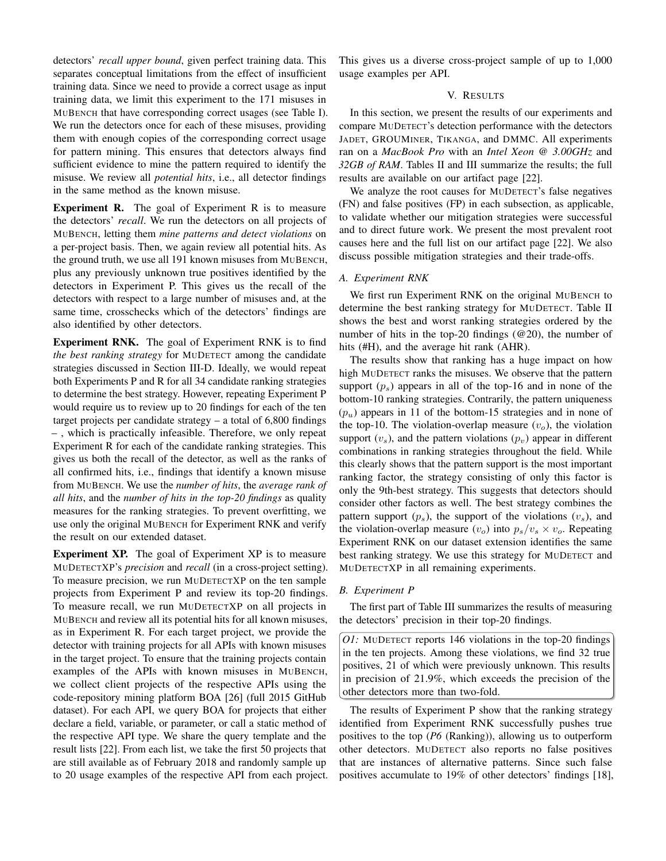detectors' *recall upper bound*, given perfect training data. This separates conceptual limitations from the effect of insufficient training data. Since we need to provide a correct usage as input training data, we limit this experiment to the 171 misuses in MUBENCH that have corresponding correct usages (see Table I). We run the detectors once for each of these misuses, providing them with enough copies of the corresponding correct usage for pattern mining. This ensures that detectors always find sufficient evidence to mine the pattern required to identify the misuse. We review all *potential hits*, i.e., all detector findings in the same method as the known misuse.

Experiment R. The goal of Experiment R is to measure the detectors' *recall*. We run the detectors on all projects of MUBENCH, letting them *mine patterns and detect violations* on a per-project basis. Then, we again review all potential hits. As the ground truth, we use all 191 known misuses from MUBENCH, plus any previously unknown true positives identified by the detectors in Experiment P. This gives us the recall of the detectors with respect to a large number of misuses and, at the same time, crosschecks which of the detectors' findings are also identified by other detectors.

Experiment RNK. The goal of Experiment RNK is to find *the best ranking strategy* for MUDETECT among the candidate strategies discussed in Section III-D. Ideally, we would repeat both Experiments P and R for all 34 candidate ranking strategies to determine the best strategy. However, repeating Experiment P would require us to review up to 20 findings for each of the ten target projects per candidate strategy  $-$  a total of 6,800 findings – , which is practically infeasible. Therefore, we only repeat Experiment R for each of the candidate ranking strategies. This gives us both the recall of the detector, as well as the ranks of all confirmed hits, i.e., findings that identify a known misuse from MUBENCH. We use the *number of hits*, the *average rank of all hits*, and the *number of hits in the top-20 findings* as quality measures for the ranking strategies. To prevent overfitting, we use only the original MUBENCH for Experiment RNK and verify the result on our extended dataset.

Experiment XP. The goal of Experiment XP is to measure MUDETECTXP's *precision* and *recall* (in a cross-project setting). To measure precision, we run MUDETECTXP on the ten sample projects from Experiment P and review its top-20 findings. To measure recall, we run MUDETECTXP on all projects in MUBENCH and review all its potential hits for all known misuses, as in Experiment R. For each target project, we provide the detector with training projects for all APIs with known misuses in the target project. To ensure that the training projects contain examples of the APIs with known misuses in MUBENCH, we collect client projects of the respective APIs using the code-repository mining platform BOA [26] (full 2015 GitHub dataset). For each API, we query BOA for projects that either declare a field, variable, or parameter, or call a static method of the respective API type. We share the query template and the result lists [22]. From each list, we take the first 50 projects that are still available as of February 2018 and randomly sample up to 20 usage examples of the respective API from each project. This gives us a diverse cross-project sample of up to 1,000 usage examples per API.

# V. RESULTS

In this section, we present the results of our experiments and compare MUDETECT's detection performance with the detectors JADET, GROUMINER, TIKANGA, and DMMC. All experiments ran on a *MacBook Pro* with an *Intel Xeon @ 3.00GHz* and *32GB of RAM*. Tables II and III summarize the results; the full results are available on our artifact page [22].

We analyze the root causes for MUDETECT's false negatives (FN) and false positives (FP) in each subsection, as applicable, to validate whether our mitigation strategies were successful and to direct future work. We present the most prevalent root causes here and the full list on our artifact page [22]. We also discuss possible mitigation strategies and their trade-offs.

## *A. Experiment RNK*

We first run Experiment RNK on the original MUBENCH to determine the best ranking strategy for MUDETECT. Table II shows the best and worst ranking strategies ordered by the number of hits in the top-20 findings (@20), the number of hits (#H), and the average hit rank (AHR).

The results show that ranking has a huge impact on how high MUDETECT ranks the misuses. We observe that the pattern support  $(p_s)$  appears in all of the top-16 and in none of the bottom-10 ranking strategies. Contrarily, the pattern uniqueness  $(p_u)$  appears in 11 of the bottom-15 strategies and in none of the top-10. The violation-overlap measure  $(v<sub>o</sub>)$ , the violation support  $(v_s)$ , and the pattern violations  $(p_v)$  appear in different combinations in ranking strategies throughout the field. While this clearly shows that the pattern support is the most important ranking factor, the strategy consisting of only this factor is only the 9th-best strategy. This suggests that detectors should consider other factors as well. The best strategy combines the pattern support  $(p_s)$ , the support of the violations  $(v_s)$ , and the violation-overlap measure  $(v_o)$  into  $p_s/v_s \times v_o$ . Repeating Experiment RNK on our dataset extension identifies the same best ranking strategy. We use this strategy for MUDETECT and MUDETECTXP in all remaining experiments.

## *B. Experiment P*

The first part of Table III summarizes the results of measuring the detectors' precision in their top-20 findings.

*O1:* MUDETECT reports 146 violations in the top-20 findings in the ten projects. Among these violations, we find 32 true positives, 21 of which were previously unknown. This results in precision of 21.9%, which exceeds the precision of the other detectors more than two-fold.

The results of Experiment P show that the ranking strategy identified from Experiment RNK successfully pushes true positives to the top (*P6* (Ranking)), allowing us to outperform other detectors. MUDETECT also reports no false positives that are instances of alternative patterns. Since such false positives accumulate to 19% of other detectors' findings [18],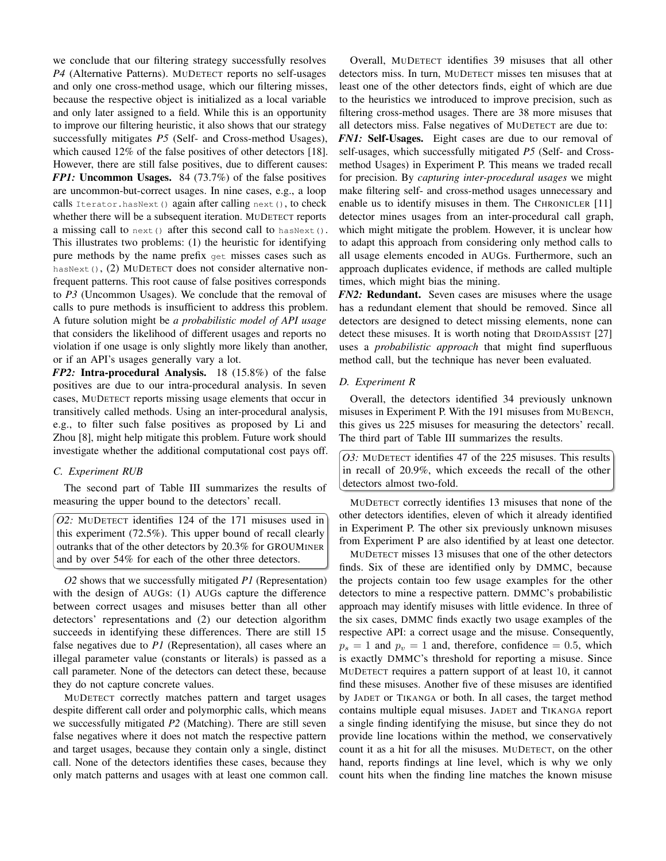we conclude that our filtering strategy successfully resolves *P4* (Alternative Patterns). MUDETECT reports no self-usages and only one cross-method usage, which our filtering misses, because the respective object is initialized as a local variable and only later assigned to a field. While this is an opportunity to improve our filtering heuristic, it also shows that our strategy successfully mitigates *P5* (Self- and Cross-method Usages), which caused 12% of the false positives of other detectors [18]. However, there are still false positives, due to different causes: *FP1:* Uncommon Usages. 84 (73.7%) of the false positives are uncommon-but-correct usages. In nine cases, e.g., a loop calls Iterator.hasNext() again after calling next(), to check whether there will be a subsequent iteration. MUDETECT reports a missing call to next() after this second call to hasNext(). This illustrates two problems: (1) the heuristic for identifying pure methods by the name prefix get misses cases such as hasNext(), (2) MUDETECT does not consider alternative nonfrequent patterns. This root cause of false positives corresponds to *P3* (Uncommon Usages). We conclude that the removal of calls to pure methods is insufficient to address this problem. A future solution might be *a probabilistic model of API usage* that considers the likelihood of different usages and reports no violation if one usage is only slightly more likely than another, or if an API's usages generally vary a lot.

*FP2:* Intra-procedural Analysis. 18 (15.8%) of the false positives are due to our intra-procedural analysis. In seven cases, MUDETECT reports missing usage elements that occur in transitively called methods. Using an inter-procedural analysis, e.g., to filter such false positives as proposed by Li and Zhou [8], might help mitigate this problem. Future work should investigate whether the additional computational cost pays off.

# *C. Experiment RUB*

The second part of Table III summarizes the results of measuring the upper bound to the detectors' recall.

*O2:* MUDETECT identifies 124 of the 171 misuses used in this experiment (72.5%). This upper bound of recall clearly outranks that of the other detectors by 20.3% for GROUMINER and by over 54% for each of the other three detectors.

*O2* shows that we successfully mitigated *P1* (Representation) with the design of AUGs: (1) AUGs capture the difference between correct usages and misuses better than all other detectors' representations and (2) our detection algorithm succeeds in identifying these differences. There are still 15 false negatives due to *P1* (Representation), all cases where an illegal parameter value (constants or literals) is passed as a call parameter. None of the detectors can detect these, because they do not capture concrete values.

MUDETECT correctly matches pattern and target usages despite different call order and polymorphic calls, which means we successfully mitigated *P2* (Matching). There are still seven false negatives where it does not match the respective pattern and target usages, because they contain only a single, distinct call. None of the detectors identifies these cases, because they only match patterns and usages with at least one common call.

Overall, MUDETECT identifies 39 misuses that all other detectors miss. In turn, MUDETECT misses ten misuses that at least one of the other detectors finds, eight of which are due to the heuristics we introduced to improve precision, such as filtering cross-method usages. There are 38 more misuses that all detectors miss. False negatives of MUDETECT are due to: *FN1:* Self-Usages. Eight cases are due to our removal of self-usages, which successfully mitigated *P5* (Self- and Crossmethod Usages) in Experiment P. This means we traded recall for precision. By *capturing inter-procedural usages* we might make filtering self- and cross-method usages unnecessary and enable us to identify misuses in them. The CHRONICLER [11] detector mines usages from an inter-procedural call graph, which might mitigate the problem. However, it is unclear how to adapt this approach from considering only method calls to all usage elements encoded in AUGs. Furthermore, such an approach duplicates evidence, if methods are called multiple times, which might bias the mining.

*FN2*: **Redundant.** Seven cases are misuses where the usage has a redundant element that should be removed. Since all detectors are designed to detect missing elements, none can detect these misuses. It is worth noting that DROIDASSIST [27] uses a *probabilistic approach* that might find superfluous method call, but the technique has never been evaluated.

## *D. Experiment R*

Overall, the detectors identified 34 previously unknown misuses in Experiment P. With the 191 misuses from MUBENCH, this gives us 225 misuses for measuring the detectors' recall. The third part of Table III summarizes the results.

*O3:* MUDETECT identifies 47 of the 225 misuses. This results in recall of 20.9%, which exceeds the recall of the other detectors almost two-fold.

MUDETECT correctly identifies 13 misuses that none of the other detectors identifies, eleven of which it already identified in Experiment P. The other six previously unknown misuses from Experiment P are also identified by at least one detector.

MUDETECT misses 13 misuses that one of the other detectors finds. Six of these are identified only by DMMC, because the projects contain too few usage examples for the other detectors to mine a respective pattern. DMMC's probabilistic approach may identify misuses with little evidence. In three of the six cases, DMMC finds exactly two usage examples of the respective API: a correct usage and the misuse. Consequently,  $p_s = 1$  and  $p_v = 1$  and, therefore, confidence = 0.5, which is exactly DMMC's threshold for reporting a misuse. Since MUDETECT requires a pattern support of at least 10, it cannot find these misuses. Another five of these misuses are identified by JADET or TIKANGA or both. In all cases, the target method contains multiple equal misuses. JADET and TIKANGA report a single finding identifying the misuse, but since they do not provide line locations within the method, we conservatively count it as a hit for all the misuses. MUDETECT, on the other hand, reports findings at line level, which is why we only count hits when the finding line matches the known misuse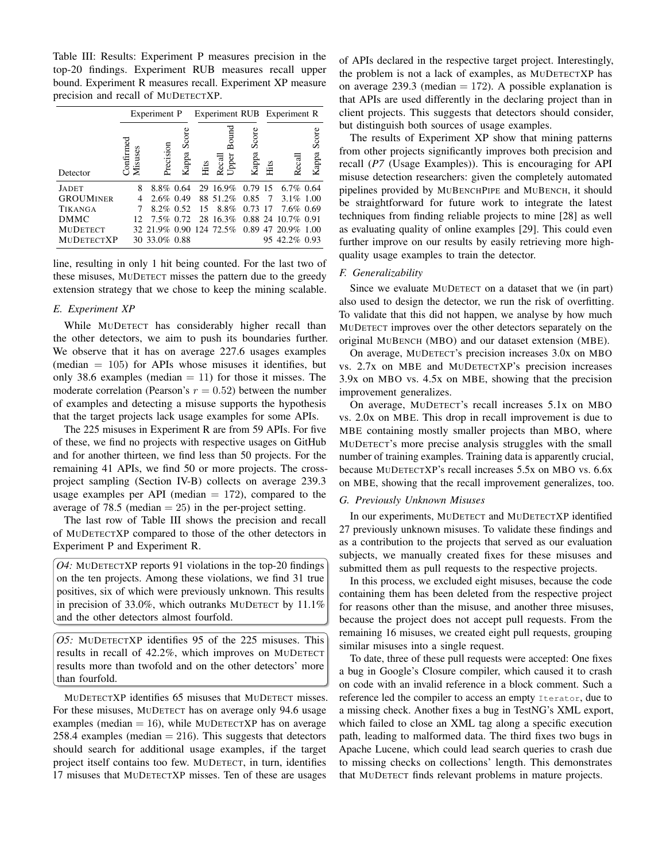Table III: Results: Experiment P measures precision in the top-20 findings. Experiment RUB measures recall upper bound. Experiment R measures recall. Experiment XP measure precision and recall of MUDETECTXP.

|                   | Experiment P        |                                            |                | Experiment RUB Experiment R |                          |                |      |                      |                |
|-------------------|---------------------|--------------------------------------------|----------------|-----------------------------|--------------------------|----------------|------|----------------------|----------------|
| Detector          | Comframe<br>Misuses | Precision                                  | Score<br>Kappa | Hits                        | Bound<br>Upper<br>Recall | Score<br>Kappa | Hits | Recal                | Score<br>Kappa |
| <b>JADET</b>      | 8                   | $8.8\%$ 0.64                               |                |                             | 29 16.9%                 | 0.79 15        |      | $6.7\%$ 0.64         |                |
| <b>GROUMINER</b>  | 4                   | $2.6\%$ 0.49                               |                |                             | 88 51.2%                 | 0.85           | - 7  | $3.1\%$ 1.00         |                |
| TIKANGA           | 7                   | $8.2\%$ 0.52                               |                | 15                          | 8.8%                     | 0.73 17        |      | 7.6% 0.69            |                |
| <b>DMMC</b>       | 12                  | 7.5% 0.72                                  |                |                             | 28 16.3%                 |                |      | $0.88$ 24 10.7% 0.91 |                |
| <b>MUDETECT</b>   |                     | 32 21.9% 0.90 124 72.5% 0.89 47 20.9% 1.00 |                |                             |                          |                |      |                      |                |
| <b>MUDETECTXP</b> |                     | 30 33.0% 0.88                              |                |                             |                          |                |      | 95 42.2% 0.93        |                |

line, resulting in only 1 hit being counted. For the last two of these misuses, MUDETECT misses the pattern due to the greedy extension strategy that we chose to keep the mining scalable.

#### *E. Experiment XP*

While MUDETECT has considerably higher recall than the other detectors, we aim to push its boundaries further. We observe that it has on average 227.6 usages examples (median  $= 105$ ) for APIs whose misuses it identifies, but only 38.6 examples (median  $= 11$ ) for those it misses. The moderate correlation (Pearson's  $r = 0.52$ ) between the number of examples and detecting a misuse supports the hypothesis that the target projects lack usage examples for some APIs.

The 225 misuses in Experiment R are from 59 APIs. For five of these, we find no projects with respective usages on GitHub and for another thirteen, we find less than 50 projects. For the remaining 41 APIs, we find 50 or more projects. The crossproject sampling (Section IV-B) collects on average 239.3 usage examples per API (median  $= 172$ ), compared to the average of 78.5 (median  $= 25$ ) in the per-project setting.

The last row of Table III shows the precision and recall of MUDETECTXP compared to those of the other detectors in Experiment P and Experiment R.

*O4:* MUDETECTXP reports 91 violations in the top-20 findings on the ten projects. Among these violations, we find 31 true positives, six of which were previously unknown. This results in precision of 33.0%, which outranks MUDETECT by 11.1% and the other detectors almost fourfold.

*O5:* MUDETECTXP identifies 95 of the 225 misuses. This results in recall of 42.2%, which improves on MUDETECT results more than twofold and on the other detectors' more than fourfold.

MUDETECTXP identifies 65 misuses that MUDETECT misses. For these misuses, MUDETECT has on average only 94.6 usage examples (median  $= 16$ ), while MUDETECTXP has on average 258.4 examples (median  $= 216$ ). This suggests that detectors should search for additional usage examples, if the target project itself contains too few. MUDETECT, in turn, identifies 17 misuses that MUDETECTXP misses. Ten of these are usages

of APIs declared in the respective target project. Interestingly, the problem is not a lack of examples, as MUDETECTXP has on average 239.3 (median  $= 172$ ). A possible explanation is that APIs are used differently in the declaring project than in client projects. This suggests that detectors should consider, but distinguish both sources of usage examples.

The results of Experiment XP show that mining patterns from other projects significantly improves both precision and recall (*P7* (Usage Examples)). This is encouraging for API misuse detection researchers: given the completely automated pipelines provided by MUBENCHPIPE and MUBENCH, it should be straightforward for future work to integrate the latest techniques from finding reliable projects to mine [28] as well as evaluating quality of online examples [29]. This could even further improve on our results by easily retrieving more highquality usage examples to train the detector.

## *F. Generalizability*

Since we evaluate MUDETECT on a dataset that we (in part) also used to design the detector, we run the risk of overfitting. To validate that this did not happen, we analyse by how much MUDETECT improves over the other detectors separately on the original MUBENCH (MBO) and our dataset extension (MBE).

On average, MUDETECT's precision increases 3.0x on MBO vs. 2.7x on MBE and MUDETECTXP's precision increases 3.9x on MBO vs. 4.5x on MBE, showing that the precision improvement generalizes.

On average, MUDETECT's recall increases 5.1x on MBO vs. 2.0x on MBE. This drop in recall improvement is due to MBE containing mostly smaller projects than MBO, where MUDETECT's more precise analysis struggles with the small number of training examples. Training data is apparently crucial, because MUDETECTXP's recall increases 5.5x on MBO vs. 6.6x on MBE, showing that the recall improvement generalizes, too.

## *G. Previously Unknown Misuses*

In our experiments, MUDETECT and MUDETECTXP identified 27 previously unknown misuses. To validate these findings and as a contribution to the projects that served as our evaluation subjects, we manually created fixes for these misuses and submitted them as pull requests to the respective projects.

In this process, we excluded eight misuses, because the code containing them has been deleted from the respective project for reasons other than the misuse, and another three misuses, because the project does not accept pull requests. From the remaining 16 misuses, we created eight pull requests, grouping similar misuses into a single request.

To date, three of these pull requests were accepted: One fixes a bug in Google's Closure compiler, which caused it to crash on code with an invalid reference in a block comment. Such a reference led the compiler to access an empty Iterator, due to a missing check. Another fixes a bug in TestNG's XML export, which failed to close an XML tag along a specific execution path, leading to malformed data. The third fixes two bugs in Apache Lucene, which could lead search queries to crash due to missing checks on collections' length. This demonstrates that MUDETECT finds relevant problems in mature projects.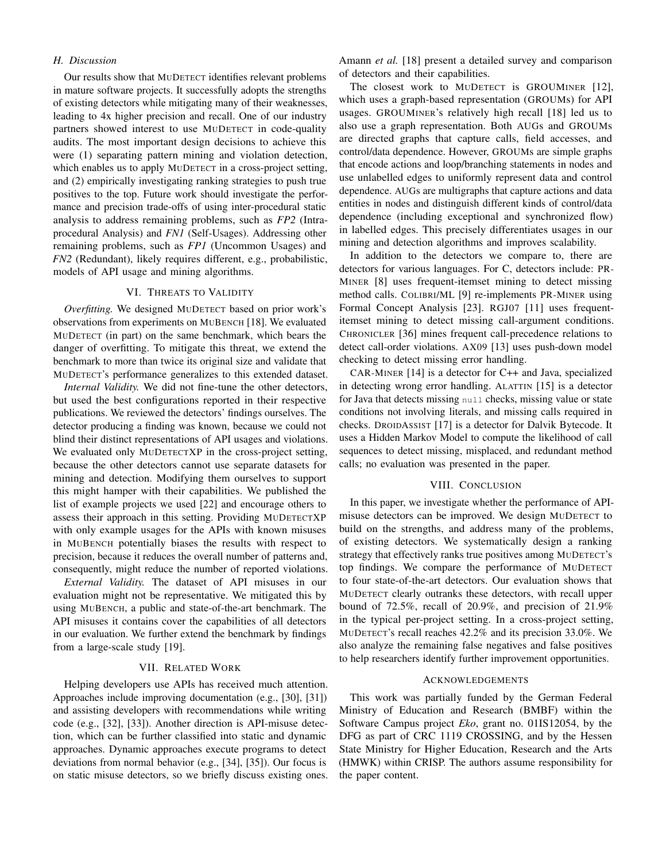# *H. Discussion*

Our results show that MUDETECT identifies relevant problems in mature software projects. It successfully adopts the strengths of existing detectors while mitigating many of their weaknesses, leading to 4x higher precision and recall. One of our industry partners showed interest to use MUDETECT in code-quality audits. The most important design decisions to achieve this were (1) separating pattern mining and violation detection, which enables us to apply MUDETECT in a cross-project setting, and (2) empirically investigating ranking strategies to push true positives to the top. Future work should investigate the performance and precision trade-offs of using inter-procedural static analysis to address remaining problems, such as *FP2* (Intraprocedural Analysis) and *FN1* (Self-Usages). Addressing other remaining problems, such as *FP1* (Uncommon Usages) and *FN2* (Redundant), likely requires different, e.g., probabilistic, models of API usage and mining algorithms.

## VI. THREATS TO VALIDITY

*Overfitting.* We designed MUDETECT based on prior work's observations from experiments on MUBENCH [18]. We evaluated MUDETECT (in part) on the same benchmark, which bears the danger of overfitting. To mitigate this threat, we extend the benchmark to more than twice its original size and validate that MUDETECT's performance generalizes to this extended dataset.

*Internal Validity.* We did not fine-tune the other detectors, but used the best configurations reported in their respective publications. We reviewed the detectors' findings ourselves. The detector producing a finding was known, because we could not blind their distinct representations of API usages and violations. We evaluated only MUDETECTXP in the cross-project setting, because the other detectors cannot use separate datasets for mining and detection. Modifying them ourselves to support this might hamper with their capabilities. We published the list of example projects we used [22] and encourage others to assess their approach in this setting. Providing MUDETECTXP with only example usages for the APIs with known misuses in MUBENCH potentially biases the results with respect to precision, because it reduces the overall number of patterns and, consequently, might reduce the number of reported violations.

*External Validity.* The dataset of API misuses in our evaluation might not be representative. We mitigated this by using MUBENCH, a public and state-of-the-art benchmark. The API misuses it contains cover the capabilities of all detectors in our evaluation. We further extend the benchmark by findings from a large-scale study [19].

#### VII. RELATED WORK

Helping developers use APIs has received much attention. Approaches include improving documentation (e.g., [30], [31]) and assisting developers with recommendations while writing code (e.g., [32], [33]). Another direction is API-misuse detection, which can be further classified into static and dynamic approaches. Dynamic approaches execute programs to detect deviations from normal behavior (e.g., [34], [35]). Our focus is on static misuse detectors, so we briefly discuss existing ones. Amann *et al.* [18] present a detailed survey and comparison of detectors and their capabilities.

The closest work to MUDETECT is GROUMINER [12], which uses a graph-based representation (GROUMs) for API usages. GROUMINER's relatively high recall [18] led us to also use a graph representation. Both AUGs and GROUMs are directed graphs that capture calls, field accesses, and control/data dependence. However, GROUMs are simple graphs that encode actions and loop/branching statements in nodes and use unlabelled edges to uniformly represent data and control dependence. AUGs are multigraphs that capture actions and data entities in nodes and distinguish different kinds of control/data dependence (including exceptional and synchronized flow) in labelled edges. This precisely differentiates usages in our mining and detection algorithms and improves scalability.

In addition to the detectors we compare to, there are detectors for various languages. For C, detectors include: PR-MINER [8] uses frequent-itemset mining to detect missing method calls. COLIBRI/ML [9] re-implements PR-MINER using Formal Concept Analysis [23]. RGJ07 [11] uses frequentitemset mining to detect missing call-argument conditions. CHRONICLER [36] mines frequent call-precedence relations to detect call-order violations. AX09 [13] uses push-down model checking to detect missing error handling.

CAR-MINER [14] is a detector for C++ and Java, specialized in detecting wrong error handling. ALATTIN [15] is a detector for Java that detects missing null checks, missing value or state conditions not involving literals, and missing calls required in checks. DROIDASSIST [17] is a detector for Dalvik Bytecode. It uses a Hidden Markov Model to compute the likelihood of call sequences to detect missing, misplaced, and redundant method calls; no evaluation was presented in the paper.

#### VIII. CONCLUSION

In this paper, we investigate whether the performance of APImisuse detectors can be improved. We design MUDETECT to build on the strengths, and address many of the problems, of existing detectors. We systematically design a ranking strategy that effectively ranks true positives among MUDETECT's top findings. We compare the performance of MUDETECT to four state-of-the-art detectors. Our evaluation shows that MUDETECT clearly outranks these detectors, with recall upper bound of 72.5%, recall of 20.9%, and precision of 21.9% in the typical per-project setting. In a cross-project setting, MUDETECT's recall reaches 42.2% and its precision 33.0%. We also analyze the remaining false negatives and false positives to help researchers identify further improvement opportunities.

## ACKNOWLEDGEMENTS

This work was partially funded by the German Federal Ministry of Education and Research (BMBF) within the Software Campus project *Eko*, grant no. 01IS12054, by the DFG as part of CRC 1119 CROSSING, and by the Hessen State Ministry for Higher Education, Research and the Arts (HMWK) within CRISP. The authors assume responsibility for the paper content.